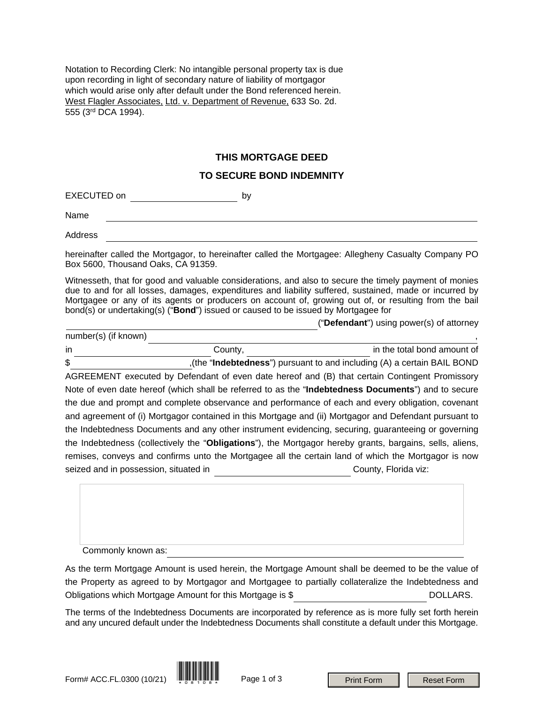Notation to Recording Clerk: No intangible personal property tax is due upon recording in light of secondary nature of liability of mortgagor which would arise only after default under the Bond referenced herein. West Flagler Associates, Ltd. v. Department of Revenue, 633 So. 2d. 555 (3rd DCA 1994).

## **THIS MORTGAGE DEED**

## **TO SECURE BOND INDEMNITY**

EXECUTED on by

Name

Address

number(s) (if known)

hereinafter called the Mortgagor, to hereinafter called the Mortgagee: Allegheny Casualty Company PO Box 5600, Thousand Oaks, CA 91359.

Witnesseth, that for good and valuable considerations, and also to secure the timely payment of monies due to and for all losses, damages, expenditures and liability suffered, sustained, made or incurred by Mortgagee or any of its agents or producers on account of, growing out of, or resulting from the bail bond(s) or undertaking(s) ("**Bond**") issued or caused to be issued by Mortgagee for

("**Defendant**") using power(s) of attorney

in in the total bond amount of county, the county, the total bond amount of \$ ,(the "**Indebtedness**") pursuant to and including (A) a certain BAIL BOND AGREEMENT executed by Defendant of even date hereof and (B) that certain Contingent Promissory Note of even date hereof (which shall be referred to as the "**Indebtedness Documents**") and to secure the due and prompt and complete observance and performance of each and every obligation, covenant and agreement of (i) Mortgagor contained in this Mortgage and (ii) Mortgagor and Defendant pursuant to the Indebtedness Documents and any other instrument evidencing, securing, guaranteeing or governing the Indebtedness (collectively the "**Obligations**"), the Mortgagor hereby grants, bargains, sells, aliens, remises, conveys and confirms unto the Mortgagee all the certain land of which the Mortgagor is now seized and in possession, situated in County, Florida viz:

Commonly known as:

As the term Mortgage Amount is used herein, the Mortgage Amount shall be deemed to be the value of the Property as agreed to by Mortgagor and Mortgagee to partially collateralize the Indebtedness and Obligations which Mortgage Amount for this Mortgage is \$ DOLLARS.

The terms of the Indebtedness Documents are incorporated by reference as is more fully set forth herein and any uncured default under the Indebtedness Documents shall constitute a default under this Mortgage.

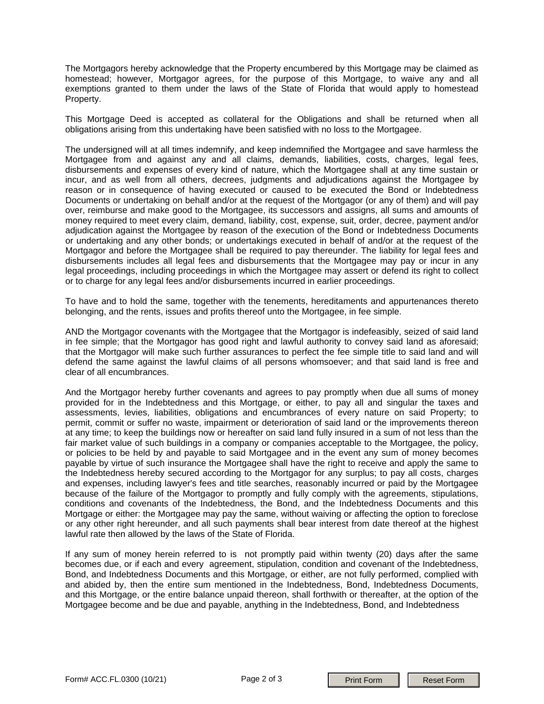The Mortgagors hereby acknowledge that the Property encumbered by this Mortgage may be claimed as homestead; however, Mortgagor agrees, for the purpose of this Mortgage, to waive any and all exemptions granted to them under the laws of the State of Florida that would apply to homestead Property.

This Mortgage Deed is accepted as collateral for the Obligations and shall be returned when all obligations arising from this undertaking have been satisfied with no loss to the Mortgagee.

The undersigned will at all times indemnify, and keep indemnified the Mortgagee and save harmless the Mortgagee from and against any and all claims, demands, liabilities, costs, charges, legal fees, disbursements and expenses of every kind of nature, which the Mortgagee shall at any time sustain or incur, and as well from all others, decrees, judgments and adjudications against the Mortgagee by reason or in consequence of having executed or caused to be executed the Bond or Indebtedness Documents or undertaking on behalf and/or at the request of the Mortgagor (or any of them) and will pay over, reimburse and make good to the Mortgagee, its successors and assigns, all sums and amounts of money required to meet every claim, demand, liability, cost, expense, suit, order, decree, payment and/or adjudication against the Mortgagee by reason of the execution of the Bond or Indebtedness Documents or undertaking and any other bonds; or undertakings executed in behalf of and/or at the request of the Mortgagor and before the Mortgagee shall be required to pay thereunder. The liability for legal fees and disbursements includes all legal fees and disbursements that the Mortgagee may pay or incur in any legal proceedings, including proceedings in which the Mortgagee may assert or defend its right to collect or to charge for any legal fees and/or disbursements incurred in earlier proceedings.

To have and to hold the same, together with the tenements, hereditaments and appurtenances thereto belonging, and the rents, issues and profits thereof unto the Mortgagee, in fee simple.

AND the Mortgagor covenants with the Mortgagee that the Mortgagor is indefeasibly, seized of said land in fee simple; that the Mortgagor has good right and lawful authority to convey said land as aforesaid; that the Mortgagor will make such further assurances to perfect the fee simple title to said land and will defend the same against the lawful claims of all persons whomsoever; and that said land is free and clear of all encumbrances.

And the Mortgagor hereby further covenants and agrees to pay promptly when due all sums of money provided for in the Indebtedness and this Mortgage, or either, to pay all and singular the taxes and assessments, levies, liabilities, obligations and encumbrances of every nature on said Property; to permit, commit or suffer no waste, impairment or deterioration of said land or the improvements thereon at any time; to keep the buildings now or hereafter on said land fully insured in a sum of not less than the fair market value of such buildings in a company or companies acceptable to the Mortgagee, the policy, or policies to be held by and payable to said Mortgagee and in the event any sum of money becomes payable by virtue of such insurance the Mortgagee shall have the right to receive and apply the same to the Indebtedness hereby secured according to the Mortgagor for any surplus; to pay all costs, charges and expenses, including lawyer's fees and title searches, reasonably incurred or paid by the Mortgagee because of the failure of the Mortgagor to promptly and fully comply with the agreements, stipulations, conditions and covenants of the Indebtedness, the Bond, and the Indebtedness Documents and this Mortgage or either: the Mortgagee may pay the same, without waiving or affecting the option to foreclose or any other right hereunder, and all such payments shall bear interest from date thereof at the highest lawful rate then allowed by the laws of the State of Florida.

If any sum of money herein referred to is not promptly paid within twenty (20) days after the same becomes due, or if each and every agreement, stipulation, condition and covenant of the Indebtedness, Bond, and Indebtedness Documents and this Mortgage, or either, are not fully performed, complied with and abided by, then the entire sum mentioned in the Indebtedness, Bond, Indebtedness Documents, and this Mortgage, or the entire balance unpaid thereon, shall forthwith or thereafter, at the option of the Mortgagee become and be due and payable, anything in the Indebtedness, Bond, and Indebtedness